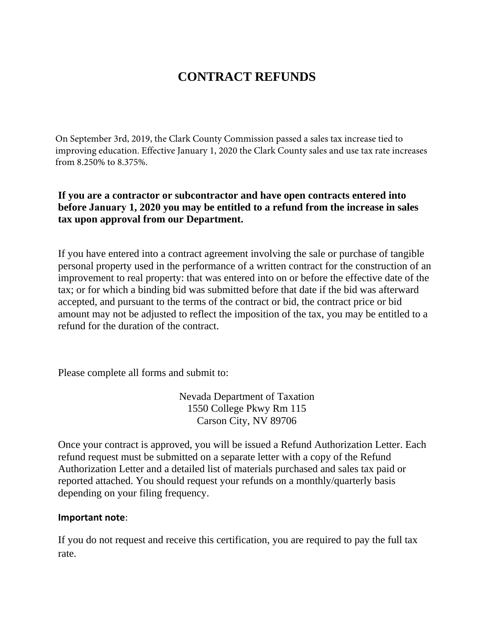# **CONTRACT REFUNDS**

On September 3rd, 2019, the Clark County Commission passed a sales tax increase tied to improving education. Effective January 1, 2020 the Clark County sales and use tax rate increases from 8.250% to 8.375%.

## **If you are a contractor or subcontractor and have open contracts entered into before January 1, 2020 you may be entitled to a refund from the increase in sales tax upon approval from our Department.**

If you have entered into a contract agreement involving the sale or purchase of tangible personal property used in the performance of a written contract for the construction of an improvement to real property: that was entered into on or before the effective date of the tax; or for which a binding bid was submitted before that date if the bid was afterward accepted, and pursuant to the terms of the contract or bid, the contract price or bid amount may not be adjusted to reflect the imposition of the tax, you may be entitled to a refund for the duration of the contract.

Please complete all forms and submit to:

Nevada Department of Taxation 1550 College Pkwy Rm 115 Carson City, NV 89706

Once your contract is approved, you will be issued a Refund Authorization Letter. Each refund request must be submitted on a separate letter with a copy of the Refund Authorization Letter and a detailed list of materials purchased and sales tax paid or reported attached. You should request your refunds on a monthly/quarterly basis depending on your filing frequency.

### **Important note**:

If you do not request and receive this certification, you are required to pay the full tax rate.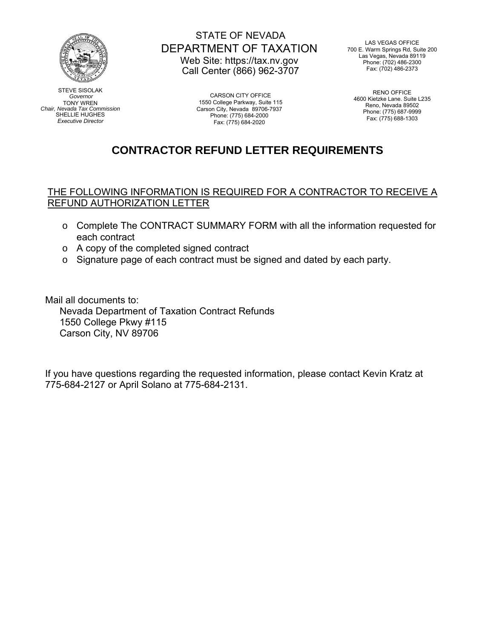

STEVE SISOLAK *Governor*  TONY WREN *Chair, Nevada Tax Commission*  SHELLIE HUGHES *Executive Director*

## STATE OF NEVADA DEPARTMENT OF TAXATION Web Site: https://tax.nv.gov Call Center (866) 962-3707

CARSON CITY OFFICE 1550 College Parkway, Suite 115 Carson City, Nevada 89706-7937 Phone: (775) 684-2000 Fax: (775) 684-2020

LAS VEGAS OFFICE 700 E. Warm Springs Rd, Suite 200 Las Vegas, Nevada 89119 Phone: (702) 486-2300 Fax: (702) 486-2373

> RENO OFFICE 4600 Kietzke Lane. Suite L235 Reno, Nevada 89502 Phone: (775) 687-9999 Fax: (775) 688-1303

# **CONTRACTOR REFUND LETTER REQUIREMENTS**

### THE FOLLOWING INFORMATION IS REQUIRED FOR A CONTRACTOR TO RECEIVE A REFUND AUTHORIZATION LETTER

- o Complete The CONTRACT SUMMARY FORM with all the information requested for each contract
- o A copy of the completed signed contract
- o Signature page of each contract must be signed and dated by each party.

Mail all documents to:

Nevada Department of Taxation Contract Refunds 1550 College Pkwy #115 Carson City, NV 89706

If you have questions regarding the requested information, please contact Kevin Kratz at 775-684-2127 or April Solano at 775-684-2131.